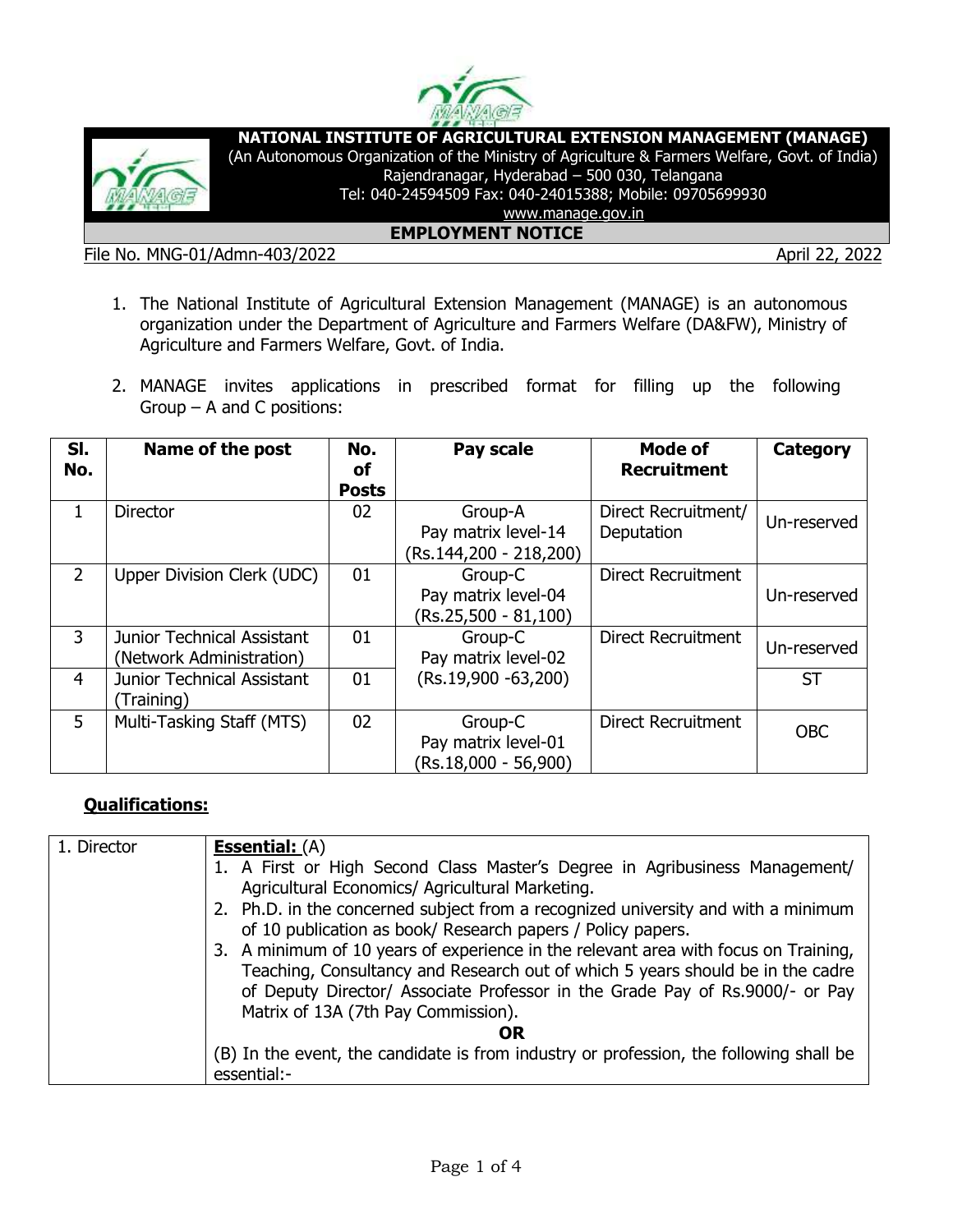



**NATIONAL INSTITUTE OF AGRICULTURAL EXTENSION MANAGEMENT (MANAGE)**

(An Autonomous Organization of the Ministry of Agriculture & Farmers Welfare, Govt. of India) Rajendranagar, Hyderabad – 500 030, Telangana

Tel: 040-24594509 Fax: 040-24015388; Mobile: 09705699930

www.manage.gov.in **EMPLOYMENT NOTICE**

File No. MNG-01/Admn-403/2022 April 22, 2022

- 1. The National Institute of Agricultural Extension Management (MANAGE) is an autonomous organization under the Department of Agriculture and Farmers Welfare (DA&FW), Ministry of Agriculture and Farmers Welfare, Govt. of India.
- 2. MANAGE invites applications in prescribed format for filling up the following Group – A and C positions:

| SI.<br>No.     | Name of the post                                              | No.<br>οf<br><b>Posts</b> | Pay scale                                                | Mode of<br><b>Recruitment</b>     | <b>Category</b> |
|----------------|---------------------------------------------------------------|---------------------------|----------------------------------------------------------|-----------------------------------|-----------------|
| 1.             | <b>Director</b>                                               | 02                        | Group-A<br>Pay matrix level-14<br>(Rs.144,200 - 218,200) | Direct Recruitment/<br>Deputation | Un-reserved     |
| $\overline{2}$ | Upper Division Clerk (UDC)                                    | 01                        | Group-C<br>Pay matrix level-04<br>(Rs.25,500 - 81,100)   | <b>Direct Recruitment</b>         | Un-reserved     |
| 3              | <b>Junior Technical Assistant</b><br>(Network Administration) | 01                        | Group-C<br>Pay matrix level-02                           | <b>Direct Recruitment</b>         | Un-reserved     |
| 4              | <b>Junior Technical Assistant</b><br>(Training)               | 01                        | $(Rs.19,900 - 63,200)$                                   |                                   | <b>ST</b>       |
| 5              | Multi-Tasking Staff (MTS)                                     | 02                        | Group-C<br>Pay matrix level-01<br>(Rs.18,000 - 56,900)   | <b>Direct Recruitment</b>         | <b>OBC</b>      |

## **Qualifications:**

| 1. Director | <b>Essential:</b> (A)                                                                  |
|-------------|----------------------------------------------------------------------------------------|
|             |                                                                                        |
|             | 1. A First or High Second Class Master's Degree in Agribusiness Management/            |
|             | Agricultural Economics/ Agricultural Marketing.                                        |
|             | 2. Ph.D. in the concerned subject from a recognized university and with a minimum      |
|             | of 10 publication as book/ Research papers / Policy papers.                            |
|             | 3. A minimum of 10 years of experience in the relevant area with focus on Training,    |
|             | Teaching, Consultancy and Research out of which 5 years should be in the cadre         |
|             |                                                                                        |
|             | of Deputy Director/ Associate Professor in the Grade Pay of Rs.9000/- or Pay           |
|             | Matrix of 13A (7th Pay Commission).                                                    |
|             | OR                                                                                     |
|             | (B) In the event, the candidate is from industry or profession, the following shall be |
|             | essential:-                                                                            |
|             |                                                                                        |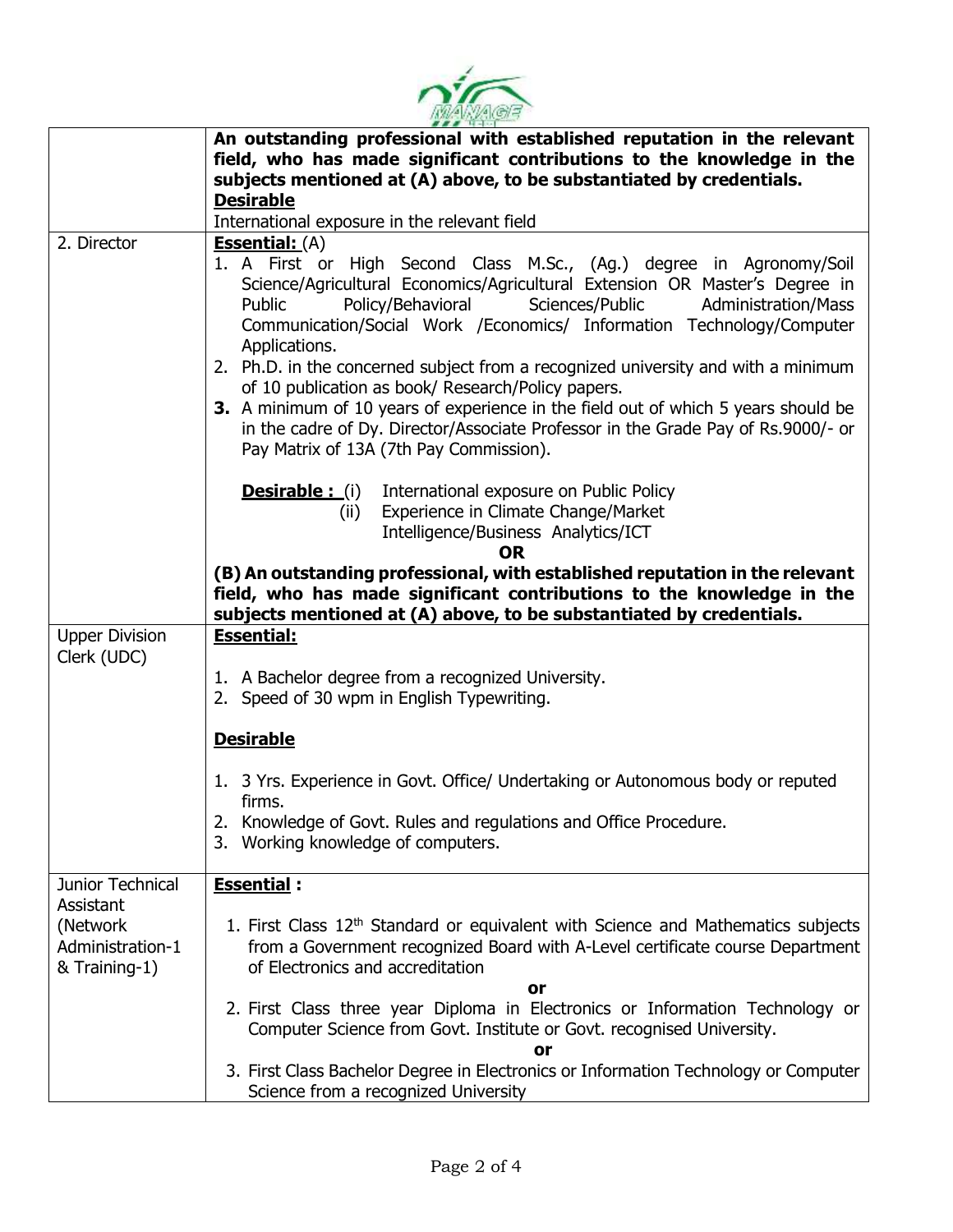

|                              | An outstanding professional with established reputation in the relevant                                                                                                                                                                                                                                                                                                                                                                                                                                                                                                                                                                                                                 |  |  |  |  |
|------------------------------|-----------------------------------------------------------------------------------------------------------------------------------------------------------------------------------------------------------------------------------------------------------------------------------------------------------------------------------------------------------------------------------------------------------------------------------------------------------------------------------------------------------------------------------------------------------------------------------------------------------------------------------------------------------------------------------------|--|--|--|--|
|                              | field, who has made significant contributions to the knowledge in the                                                                                                                                                                                                                                                                                                                                                                                                                                                                                                                                                                                                                   |  |  |  |  |
|                              | subjects mentioned at (A) above, to be substantiated by credentials.                                                                                                                                                                                                                                                                                                                                                                                                                                                                                                                                                                                                                    |  |  |  |  |
|                              | <b>Desirable</b>                                                                                                                                                                                                                                                                                                                                                                                                                                                                                                                                                                                                                                                                        |  |  |  |  |
|                              | International exposure in the relevant field                                                                                                                                                                                                                                                                                                                                                                                                                                                                                                                                                                                                                                            |  |  |  |  |
| 2. Director                  | <b>Essential:</b> (A)                                                                                                                                                                                                                                                                                                                                                                                                                                                                                                                                                                                                                                                                   |  |  |  |  |
|                              | 1. A First or High Second Class M.Sc., (Ag.) degree in Agronomy/Soil<br>Science/Agricultural Economics/Agricultural Extension OR Master's Degree in<br>Policy/Behavioral<br>Sciences/Public<br>Administration/Mass<br>Public<br>Communication/Social Work /Economics/ Information Technology/Computer<br>Applications.<br>2. Ph.D. in the concerned subject from a recognized university and with a minimum<br>of 10 publication as book/ Research/Policy papers.<br>3. A minimum of 10 years of experience in the field out of which 5 years should be<br>in the cadre of Dy. Director/Associate Professor in the Grade Pay of Rs.9000/- or<br>Pay Matrix of 13A (7th Pay Commission). |  |  |  |  |
|                              | <b>Desirable:</b> (i)<br>International exposure on Public Policy                                                                                                                                                                                                                                                                                                                                                                                                                                                                                                                                                                                                                        |  |  |  |  |
|                              | Experience in Climate Change/Market<br>(ii)                                                                                                                                                                                                                                                                                                                                                                                                                                                                                                                                                                                                                                             |  |  |  |  |
|                              | Intelligence/Business Analytics/ICT                                                                                                                                                                                                                                                                                                                                                                                                                                                                                                                                                                                                                                                     |  |  |  |  |
|                              | <b>OR</b>                                                                                                                                                                                                                                                                                                                                                                                                                                                                                                                                                                                                                                                                               |  |  |  |  |
|                              | (B) An outstanding professional, with established reputation in the relevant<br>field, who has made significant contributions to the knowledge in the<br>subjects mentioned at (A) above, to be substantiated by credentials.                                                                                                                                                                                                                                                                                                                                                                                                                                                           |  |  |  |  |
| <b>Upper Division</b>        | <b>Essential:</b>                                                                                                                                                                                                                                                                                                                                                                                                                                                                                                                                                                                                                                                                       |  |  |  |  |
| Clerk (UDC)                  |                                                                                                                                                                                                                                                                                                                                                                                                                                                                                                                                                                                                                                                                                         |  |  |  |  |
|                              | 1. A Bachelor degree from a recognized University.                                                                                                                                                                                                                                                                                                                                                                                                                                                                                                                                                                                                                                      |  |  |  |  |
|                              | 2. Speed of 30 wpm in English Typewriting.                                                                                                                                                                                                                                                                                                                                                                                                                                                                                                                                                                                                                                              |  |  |  |  |
|                              |                                                                                                                                                                                                                                                                                                                                                                                                                                                                                                                                                                                                                                                                                         |  |  |  |  |
|                              | <b>Desirable</b>                                                                                                                                                                                                                                                                                                                                                                                                                                                                                                                                                                                                                                                                        |  |  |  |  |
|                              | 1. 3 Yrs. Experience in Govt. Office/ Undertaking or Autonomous body or reputed                                                                                                                                                                                                                                                                                                                                                                                                                                                                                                                                                                                                         |  |  |  |  |
|                              | firms.                                                                                                                                                                                                                                                                                                                                                                                                                                                                                                                                                                                                                                                                                  |  |  |  |  |
|                              | Knowledge of Govt. Rules and regulations and Office Procedure                                                                                                                                                                                                                                                                                                                                                                                                                                                                                                                                                                                                                           |  |  |  |  |
|                              | 3. Working knowledge of computers.                                                                                                                                                                                                                                                                                                                                                                                                                                                                                                                                                                                                                                                      |  |  |  |  |
|                              |                                                                                                                                                                                                                                                                                                                                                                                                                                                                                                                                                                                                                                                                                         |  |  |  |  |
| <b>Junior Technical</b>      | <b>Essential:</b>                                                                                                                                                                                                                                                                                                                                                                                                                                                                                                                                                                                                                                                                       |  |  |  |  |
| Assistant                    |                                                                                                                                                                                                                                                                                                                                                                                                                                                                                                                                                                                                                                                                                         |  |  |  |  |
| (Network<br>Administration-1 | 1. First Class 12 <sup>th</sup> Standard or equivalent with Science and Mathematics subjects                                                                                                                                                                                                                                                                                                                                                                                                                                                                                                                                                                                            |  |  |  |  |
| & Training-1)                | from a Government recognized Board with A-Level certificate course Department<br>of Electronics and accreditation                                                                                                                                                                                                                                                                                                                                                                                                                                                                                                                                                                       |  |  |  |  |
|                              | or                                                                                                                                                                                                                                                                                                                                                                                                                                                                                                                                                                                                                                                                                      |  |  |  |  |
|                              | 2. First Class three year Diploma in Electronics or Information Technology or                                                                                                                                                                                                                                                                                                                                                                                                                                                                                                                                                                                                           |  |  |  |  |
|                              | Computer Science from Govt. Institute or Govt. recognised University.                                                                                                                                                                                                                                                                                                                                                                                                                                                                                                                                                                                                                   |  |  |  |  |
|                              | or                                                                                                                                                                                                                                                                                                                                                                                                                                                                                                                                                                                                                                                                                      |  |  |  |  |
|                              | 3. First Class Bachelor Degree in Electronics or Information Technology or Computer                                                                                                                                                                                                                                                                                                                                                                                                                                                                                                                                                                                                     |  |  |  |  |
|                              | Science from a recognized University                                                                                                                                                                                                                                                                                                                                                                                                                                                                                                                                                                                                                                                    |  |  |  |  |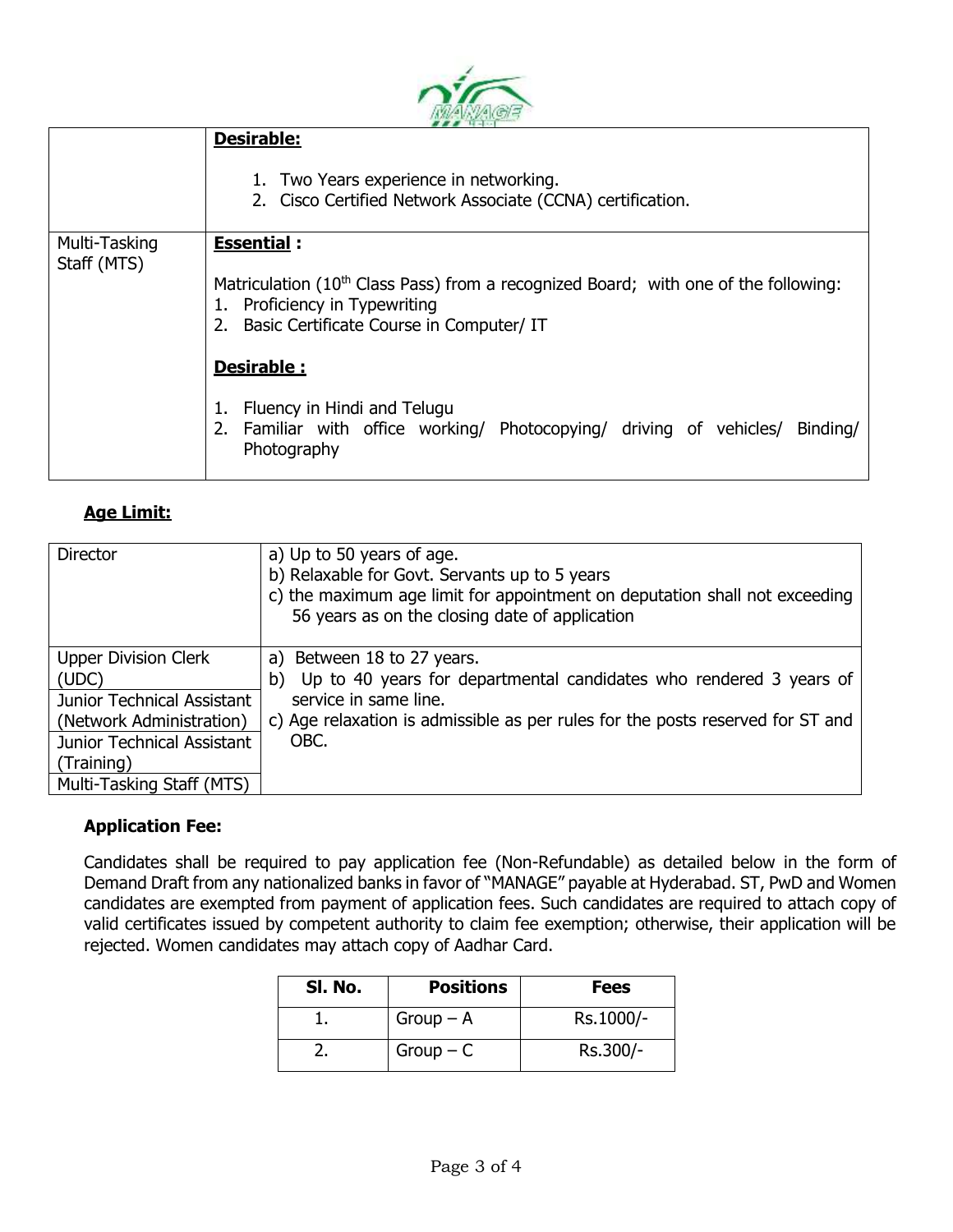|                              | <b>Desirable:</b><br>1. Two Years experience in networking.<br>2. Cisco Certified Network Associate (CCNA) certification.                                                                            |  |  |  |  |  |
|------------------------------|------------------------------------------------------------------------------------------------------------------------------------------------------------------------------------------------------|--|--|--|--|--|
| Multi-Tasking<br>Staff (MTS) | <b>Essential:</b><br>Matriculation (10 <sup>th</sup> Class Pass) from a recognized Board; with one of the following:<br>1. Proficiency in Typewriting<br>2. Basic Certificate Course in Computer/ IT |  |  |  |  |  |
|                              | Desirable :<br>1. Fluency in Hindi and Telugu<br>2. Familiar with office working/ Photocopying/ driving of vehicles/ Binding/<br>Photography                                                         |  |  |  |  |  |

سندنجب

## **Age Limit:**

| Director                                                                                                                                                                | a) Up to 50 years of age.<br>b) Relaxable for Govt. Servants up to 5 years<br>c) the maximum age limit for appointment on deputation shall not exceeding<br>56 years as on the closing date of application                |
|-------------------------------------------------------------------------------------------------------------------------------------------------------------------------|---------------------------------------------------------------------------------------------------------------------------------------------------------------------------------------------------------------------------|
| <b>Upper Division Clerk</b><br>(UDC)<br>Junior Technical Assistant<br>(Network Administration)<br>Junior Technical Assistant<br>(Training)<br>Multi-Tasking Staff (MTS) | a) Between 18 to 27 years.<br>Up to 40 years for departmental candidates who rendered 3 years of<br>b)<br>service in same line.<br>c) Age relaxation is admissible as per rules for the posts reserved for ST and<br>OBC. |

## **Application Fee:**

Candidates shall be required to pay application fee (Non-Refundable) as detailed below in the form of Demand Draft from any nationalized banks in favor of "MANAGE" payable at Hyderabad. ST, PwD and Women candidates are exempted from payment of application fees. Such candidates are required to attach copy of valid certificates issued by competent authority to claim fee exemption; otherwise, their application will be rejected. Women candidates may attach copy of Aadhar Card.

| SI. No. | <b>Positions</b> | <b>Fees</b> |
|---------|------------------|-------------|
|         | $Group - A$      | Rs.1000/-   |
|         | $Group - C$      | Rs.300/-    |